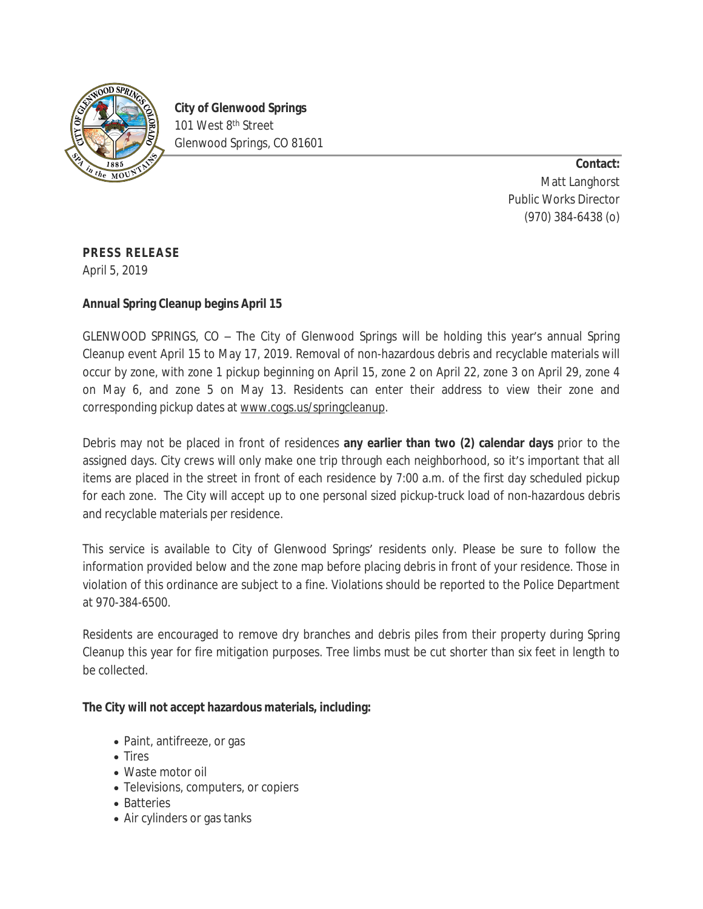

**City of Glenwood Springs** 101 West 8<sup>th</sup> Street Glenwood Springs, CO 81601

> **Contact:** Matt Langhorst Public Works Director (970) 384-6438 (o)

**PRESS RELEASE**

April 5, 2019

## **Annual Spring Cleanup begins April 15**

GLENWOOD SPRINGS, CO – The City of Glenwood Springs will be holding this year's annual Spring Cleanup event April 15 to May 17, 2019. Removal of non-hazardous debris and recyclable materials will occur by zone, with zone 1 pickup beginning on April 15, zone 2 on April 22, zone 3 on April 29, zone 4 on May 6, and zone 5 on May 13. Residents can enter their address to view their zone and corresponding pickup dates at [www.cogs.us/springcleanup](http://www.cogs.us/springcleanup).

Debris may not be placed in front of residences **any earlier than two (2) calendar days** prior to the assigned days. City crews will only make one trip through each neighborhood, so it's important that all items are placed in the street in front of each residence by 7:00 a.m. of the first day scheduled pickup for each zone. The City will accept up to one personal sized pickup-truck load of non-hazardous debris and recyclable materials per residence.

This service is available to City of Glenwood Springs' residents only. Please be sure to follow the information provided below and the zone map before placing debris in front of your residence. Those in violation of this ordinance are subject to a fine. Violations should be reported to the Police Department at 970-384-6500.

Residents are encouraged to remove dry branches and debris piles from their property during Spring Cleanup this year for fire mitigation purposes. Tree limbs must be cut shorter than six feet in length to be collected.

## **The City will not accept hazardous materials, including:**

- Paint, antifreeze, or gas
- Tires
- Waste motor oil
- Televisions, computers, or copiers
- Batteries
- Air cylinders or gas tanks